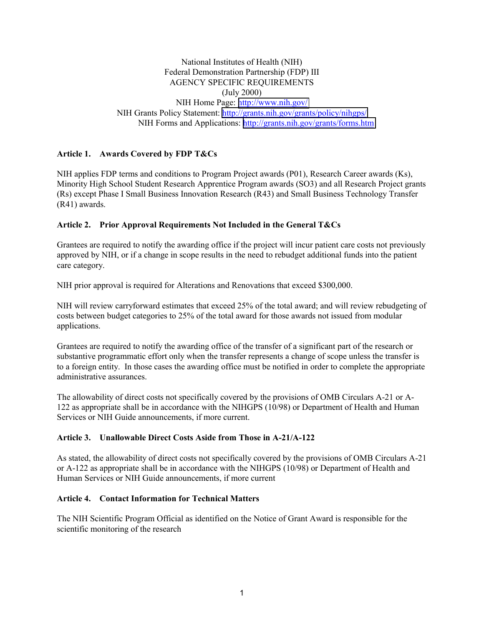National Institutes of Health (NIH) Federal Demonstration Partnership (FDP) III AGENCY SPECIFIC REQUIREMENTS (July 2000) NIH Home Page: <http://www.nih.gov/> NIH Grants Policy Statement:<http://grants.nih.gov/grants/policy/nihgps/> NIH Forms and Applications: <http://grants.nih.gov/grants/forms.htm>

## **Article 1. Awards Covered by FDP T&Cs**

NIH applies FDP terms and conditions to Program Project awards (P01), Research Career awards (Ks), Minority High School Student Research Apprentice Program awards (SO3) and all Research Project grants (Rs) except Phase I Small Business Innovation Research (R43) and Small Business Technology Transfer (R41) awards.

### **Article 2. Prior Approval Requirements Not Included in the General T&Cs**

Grantees are required to notify the awarding office if the project will incur patient care costs not previously approved by NIH, or if a change in scope results in the need to rebudget additional funds into the patient care category.

NIH prior approval is required for Alterations and Renovations that exceed \$300,000.

NIH will review carryforward estimates that exceed 25% of the total award; and will review rebudgeting of costs between budget categories to 25% of the total award for those awards not issued from modular applications.

Grantees are required to notify the awarding office of the transfer of a significant part of the research or substantive programmatic effort only when the transfer represents a change of scope unless the transfer is to a foreign entity. In those cases the awarding office must be notified in order to complete the appropriate administrative assurances.

The allowability of direct costs not specifically covered by the provisions of OMB Circulars A-21 or A-122 as appropriate shall be in accordance with the NIHGPS (10/98) or Department of Health and Human Services or NIH Guide announcements, if more current.

# **Article 3. Unallowable Direct Costs Aside from Those in A-21/A-122**

As stated, the allowability of direct costs not specifically covered by the provisions of OMB Circulars A-21 or A-122 as appropriate shall be in accordance with the NIHGPS (10/98) or Department of Health and Human Services or NIH Guide announcements, if more current

### **Article 4. Contact Information for Technical Matters**

The NIH Scientific Program Official as identified on the Notice of Grant Award is responsible for the scientific monitoring of the research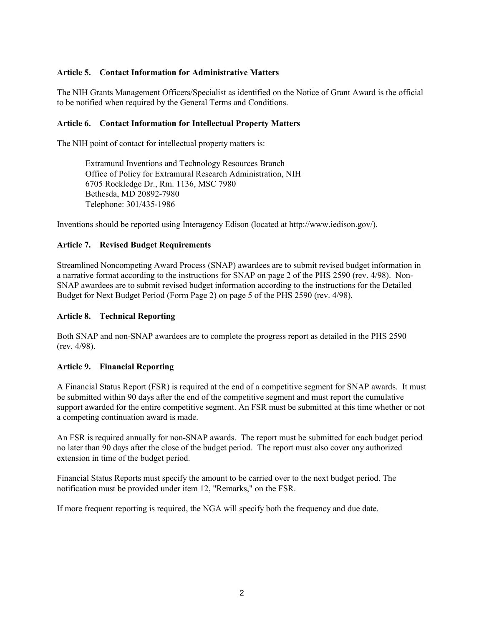## **Article 5. Contact Information for Administrative Matters**

The NIH Grants Management Officers/Specialist as identified on the Notice of Grant Award is the official to be notified when required by the General Terms and Conditions.

## **Article 6. Contact Information for Intellectual Property Matters**

The NIH point of contact for intellectual property matters is:

Extramural Inventions and Technology Resources Branch Office of Policy for Extramural Research Administration, NIH 6705 Rockledge Dr., Rm. 1136, MSC 7980 Bethesda, MD 20892-7980 Telephone: 301/435-1986

Inventions should be reported using Interagency Edison (located at http://www.iedison.gov/).

### **Article 7. Revised Budget Requirements**

Streamlined Noncompeting Award Process (SNAP) awardees are to submit revised budget information in a narrative format according to the instructions for SNAP on page 2 of the PHS 2590 (rev. 4/98). Non-SNAP awardees are to submit revised budget information according to the instructions for the Detailed Budget for Next Budget Period (Form Page 2) on page 5 of the PHS 2590 (rev. 4/98).

### **Article 8. Technical Reporting**

Both SNAP and non-SNAP awardees are to complete the progress report as detailed in the PHS 2590 (rev. 4/98).

### **Article 9. Financial Reporting**

A Financial Status Report (FSR) is required at the end of a competitive segment for SNAP awards. It must be submitted within 90 days after the end of the competitive segment and must report the cumulative support awarded for the entire competitive segment. An FSR must be submitted at this time whether or not a competing continuation award is made.

An FSR is required annually for non-SNAP awards. The report must be submitted for each budget period no later than 90 days after the close of the budget period. The report must also cover any authorized extension in time of the budget period.

Financial Status Reports must specify the amount to be carried over to the next budget period. The notification must be provided under item 12, "Remarks," on the FSR.

If more frequent reporting is required, the NGA will specify both the frequency and due date.